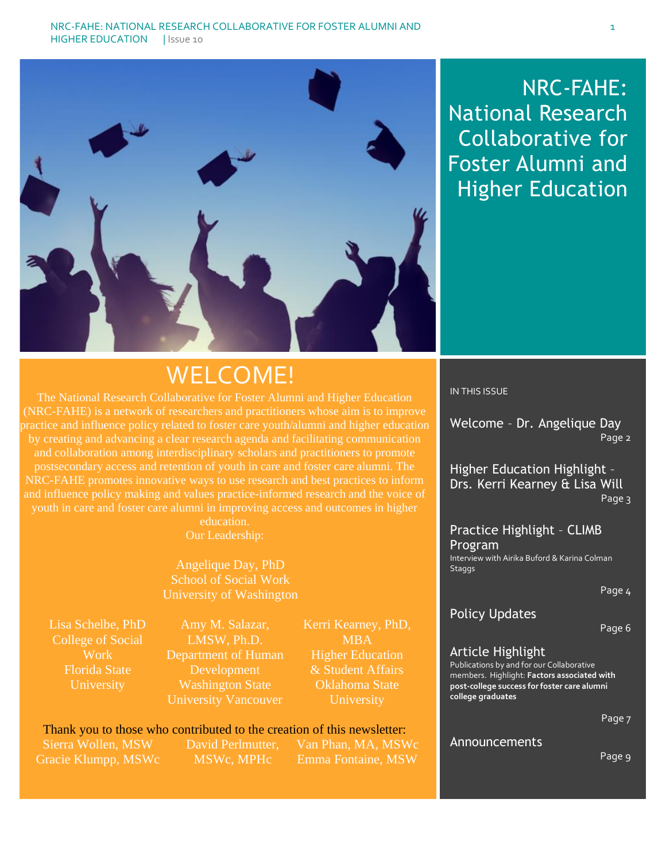

### NRC-FAHE: National Research Collaborative for Foster Alumni and Higher Education

### WELCOME!

The National Research Collaborative for Foster Alumni and Higher Education (NRC-FAHE) is a network of researchers and practitioners whose aim is to improve practice and influence policy related to foster care youth/alumni and higher education by creating and advancing a clear research agenda and facilitating communication and collaboration among interdisciplinary scholars and practitioners to promote postsecondary access and retention of youth in care and foster care alumni. The NRC-FAHE promotes innovative ways to use research and best practices to inform and influence policy making and values practice-informed research and the voice of youth in care and foster care alumni in improving access and outcomes in higher

education. Our Leadership:

Angelique Day, PhD School of Social Work University of Washington

Lisa Schelbe, PhD College of Social Work Florida State **University** 

Amy M. Salazar, LMSW, Ph.D. Department of Human Development Washington State University Vancouver

Kerri Kearney, PhD, **MBA** Higher Education & Student Affairs Oklahoma State University

### Thank you to those who contributed to the creation of this newsletter:

Sierra Wollen, MSW Gracie Klumpp, MSWc David Perlmutter, MSWc, MPHc

Van Phan, MA, MSWc Emma Fontaine, MSW

#### IN THIS ISSUE

Welcome – Dr. Angelique Day Page 2

Higher Education Highlight – Drs. Kerri Kearney & Lisa Will Page 3

Practice Highlight – CLIMB Program Interview with Airika Buford & Karina Colman **Staggs** 

Page 4

#### Policy Updates

Page 6

#### Article Highlight

Publications by and for our Collaborative members. Highlight: **Factors associated with post-college success for foster care alumni college graduates**

Page 7

#### Announcements

Page 9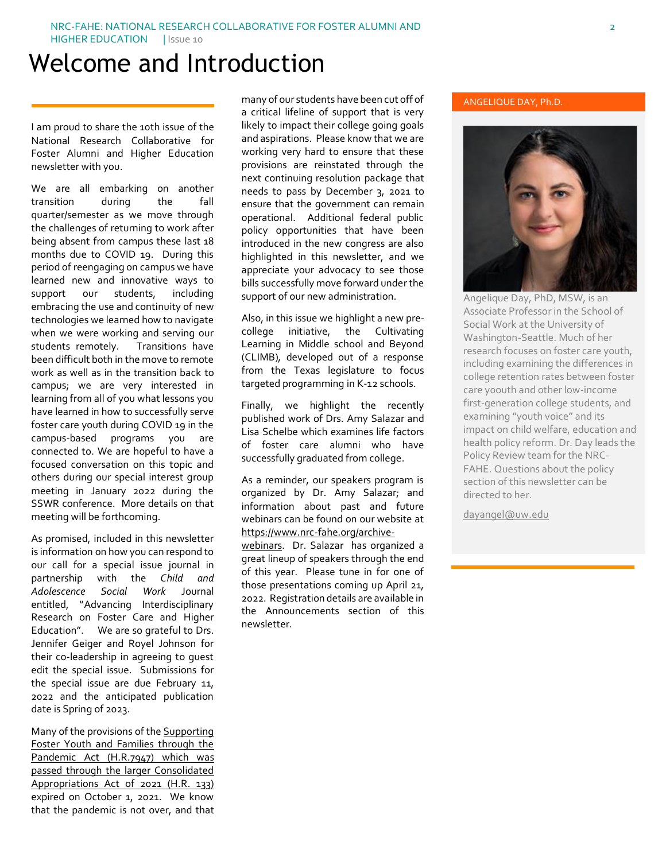### Welcome and Introduction

I am proud to share the 10th issue of the National Research Collaborative for Foster Alumni and Higher Education newsletter with you.

We are all embarking on another transition during the fall quarter/semester as we move through the challenges of returning to work after being absent from campus these last 18 months due to COVID 19. During this period of reengaging on campus we have learned new and innovative ways to support our students, including embracing the use and continuity of new technologies we learned how to navigate when we were working and serving our students remotely. Transitions have been difficult both in the move to remote work as well as in the transition back to campus; we are very interested in learning from all of you what lessons you have learned in how to successfully serve foster care youth during COVID 19 in the campus-based programs you are connected to. We are hopeful to have a focused conversation on this topic and others during our special interest group meeting in January 2022 during the SSWR conference. More details on that meeting will be forthcoming.

As promised, included in this newsletter is information on how you can respond to our call for a special issue journal in partnership with the *Child and Adolescence Social Work* Journal entitled, "Advancing Interdisciplinary Research on Foster Care and Higher Education". We are so grateful to Drs. Jennifer Geiger and Royel Johnson for their co-leadership in agreeing to guest edit the special issue. Submissions for the special issue are due February 11, 2022 and the anticipated publication date is Spring of 2023.

Many of the provisions of th[e Supporting](https://www.congress.gov/bill/116th-congress/house-bill/7947/text?q=%7B%22search%22%3A%5B%22foster+youth%22%5D%7D&r=13&s=4)  [Foster Youth and Families through the](https://www.congress.gov/bill/116th-congress/house-bill/7947/text?q=%7B%22search%22%3A%5B%22foster+youth%22%5D%7D&r=13&s=4)  [Pandemic Act \(H.R.7947\)](https://www.congress.gov/bill/116th-congress/house-bill/7947/text?q=%7B%22search%22%3A%5B%22foster+youth%22%5D%7D&r=13&s=4) which was passed through the larger Consolidated Appropriations Act of 2021 (H.R. 133) expired on October 1, 2021. We know that the pandemic is not over, and that

many of our students have been cut off of a critical lifeline of support that is very likely to impact their college going goals and aspirations. Please know that we are working very hard to ensure that these provisions are reinstated through the next continuing resolution package that needs to pass by December 3, 2021 to ensure that the government can remain operational. Additional federal public policy opportunities that have been introduced in the new congress are also highlighted in this newsletter, and we appreciate your advocacy to see those bills successfully move forward under the support of our new administration.

Also, in this issue we highlight a new precollege initiative, the Cultivating Learning in Middle school and Beyond (CLIMB), developed out of a response from the Texas legislature to focus targeted programming in K-12 schools.

Finally, we highlight the recently published work of Drs. Amy Salazar and Lisa Schelbe which examines life factors of foster care alumni who have successfully graduated from college.

As a reminder, our speakers program is organized by Dr. Amy Salazar; and information about past and future webinars can be found on our website at [https://www.nrc-fahe.org/archive-](https://www.nrc-fahe.org/archive-webinars)

[webinars.](https://www.nrc-fahe.org/archive-webinars) Dr. Salazar has organized a great lineup of speakers through the end of this year. Please tune in for one of those presentations coming up April 21, 2022. Registration details are available in the Announcements section of this newsletter.

#### ANGELIQUE DAY, Ph.D.



Angelique Day, PhD, MSW, is an Associate Professor in the School of Social Work at the University of Washington-Seattle. Much of her research focuses on foster care youth, including examining the differences in college retention rates between foster care y0outh and other low-income first-generation college students, and examining "youth voice" and its impact on child welfare, education and health policy reform. Dr. Day leads the Policy Review team for the NRC-FAHE. Questions about the policy section of this newsletter can be directed to her.

[dayangel@uw.edu](mailto:dayangel@uw.edu)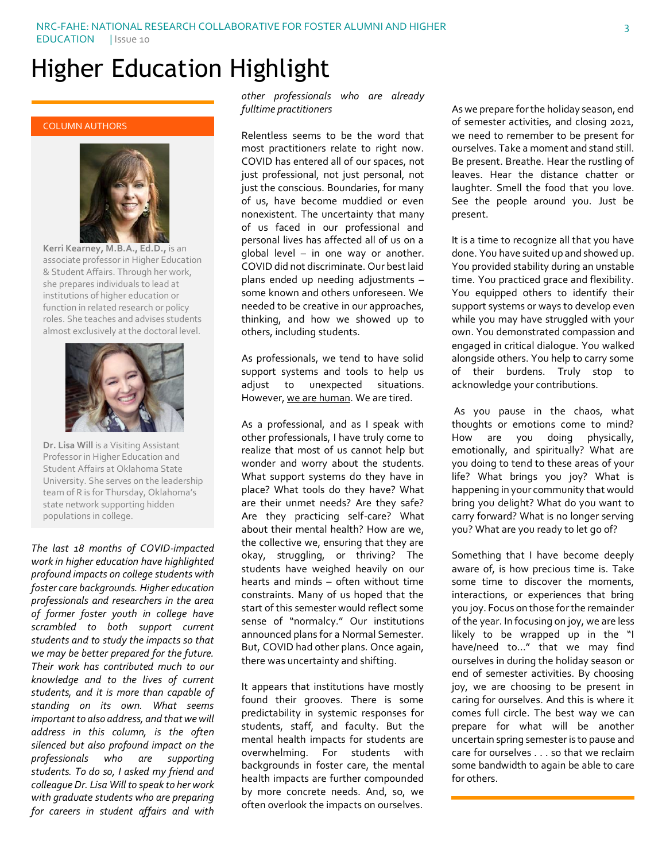# Higher Education Highlight

#### COLUMN AUTHORS



**Kerri Kearney, M.B.A., Ed.D.,** is an associate professor in Higher Education & Student Affairs. Through her work, she prepares individuals to lead at institutions of higher education or function in related research or policy roles. She teaches and advises students almost exclusively at the doctoral level.



**Dr. Lisa Will** is a Visiting Assistant Professor in Higher Education and Student Affairs at Oklahoma State University. She serves on the leadership team of R is for Thursday, Oklahoma's state network supporting hidden populations in college.

*The last 18 months of COVID-impacted work in higher education have highlighted profound impacts on college students with foster care backgrounds. Higher education professionals and researchers in the area of former foster youth in college have scrambled to both support current students and to study the impacts so that we may be better prepared for the future. Their work has contributed much to our knowledge and to the lives of current students, and it is more than capable of standing on its own. What seems important to also address, and that we will address in this column, is the often silenced but also profound impact on the professionals who are supporting students. To do so, I asked my friend and colleague Dr. Lisa Will to speak to her work with graduate students who are preparing for careers in student affairs and with* 

*other professionals who are already fulltime practitioners*

Relentless seems to be the word that most practitioners relate to right now. COVID has entered all of our spaces, not just professional, not just personal, not just the conscious. Boundaries, for many of us, have become muddied or even nonexistent. The uncertainty that many of us faced in our professional and personal lives has affected all of us on a global level – in one way or another. COVID did not discriminate. Our best laid plans ended up needing adjustments – some known and others unforeseen. We needed to be creative in our approaches, thinking, and how we showed up to others, including students.

As professionals, we tend to have solid support systems and tools to help us adjust to unexpected situations. However, we are human. We are tired.

As a professional, and as I speak with other professionals, I have truly come to realize that most of us cannot help but wonder and worry about the students. What support systems do they have in place? What tools do they have? What are their unmet needs? Are they safe? Are they practicing self-care? What about their mental health? How are we, the collective we, ensuring that they are okay, struggling, or thriving? The students have weighed heavily on our hearts and minds – often without time constraints. Many of us hoped that the start of this semester would reflect some sense of "normalcy." Our institutions announced plans for a Normal Semester. But, COVID had other plans. Once again, there was uncertainty and shifting.

It appears that institutions have mostly found their grooves. There is some predictability in systemic responses for students, staff, and faculty. But the mental health impacts for students are overwhelming. For students with backgrounds in foster care, the mental health impacts are further compounded by more concrete needs. And, so, we often overlook the impacts on ourselves.

As we prepare for the holiday season, end of semester activities, and closing 2021, we need to remember to be present for ourselves. Take a moment and stand still. Be present. Breathe. Hear the rustling of leaves. Hear the distance chatter or laughter. Smell the food that you love. See the people around you. Just be present.

It is a time to recognize all that you have done. You have suited up and showed up. You provided stability during an unstable time. You practiced grace and flexibility. You equipped others to identify their support systems or ways to develop even while you may have struggled with your own. You demonstrated compassion and engaged in critical dialogue. You walked alongside others. You help to carry some of their burdens. Truly stop to acknowledge your contributions.

As you pause in the chaos, what thoughts or emotions come to mind? How are you doing physically, emotionally, and spiritually? What are you doing to tend to these areas of your life? What brings you joy? What is happening in your community that would bring you delight? What do you want to carry forward? What is no longer serving you? What are you ready to let go of?

Something that I have become deeply aware of, is how precious time is. Take some time to discover the moments, interactions, or experiences that bring you joy. Focus on those for the remainder of the year. In focusing on joy, we are less likely to be wrapped up in the "I have/need to…" that we may find ourselves in during the holiday season or end of semester activities. By choosing joy, we are choosing to be present in caring for ourselves. And this is where it comes full circle. The best way we can prepare for what will be another uncertain spring semester is to pause and care for ourselves . . . so that we reclaim some bandwidth to again be able to care for others.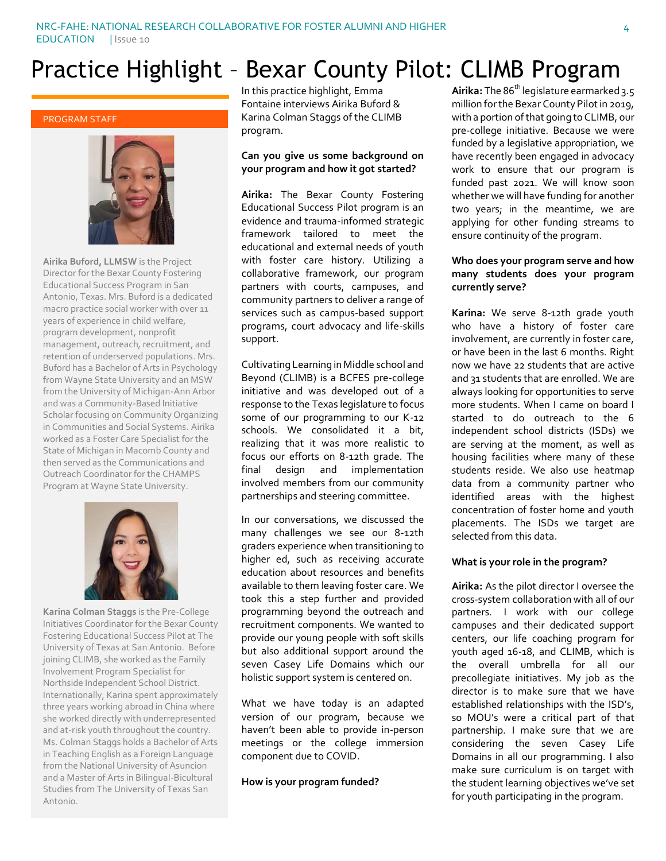## Practice Highlight – Bexar County Pilot: CLIMB Program

#### PROGRAM STAFF



**Airika Buford, LLMSW** is the Project Director for the Bexar County Fostering Educational Success Program in San Antonio, Texas. Mrs. Buford is a dedicated macro practice social worker with over 11 years of experience in child welfare, program development, nonprofit management, outreach, recruitment, and retention of underserved populations. Mrs. Buford has a Bachelor of Arts in Psychology from Wayne State University and an MSW from the University of Michigan-Ann Arbor and was a Community-Based Initiative Scholar focusing on Community Organizing in Communities and Social Systems. Airika worked as a Foster Care Specialist for the State of Michigan in Macomb County and then served as the Communications and Outreach Coordinator for the CHAMPS Program at Wayne State University.



**Karina Colman Staggs** is the Pre-College Initiatives Coordinator for the Bexar County Fostering Educational Success Pilot at The University of Texas at San Antonio. Before joining CLIMB, she worked as the Family Involvement Program Specialist for Northside Independent School District. Internationally, Karina spent approximately three years working abroad in China where she worked directly with underrepresented and at-risk youth throughout the country. Ms. Colman Staggs holds a Bachelor of Arts in Teaching English as a Foreign Language from the National University of Asuncion and a Master of Arts in Bilingual-Bicultural Studies from The University of Texas San Antonio.

In this practice highlight, Emma Fontaine interviews Airika Buford & Karina Colman Staggs of the CLIMB program.

#### **Can you give us some background on your program and how it got started?**

**Airika:** The Bexar County Fostering Educational Success Pilot program is an evidence and trauma-informed strategic framework tailored to meet the educational and external needs of youth with foster care history. Utilizing a collaborative framework, our program partners with courts, campuses, and community partners to deliver a range of services such as campus-based support programs, court advocacy and life-skills support.

Cultivating Learning in Middle school and Beyond (CLIMB) is a BCFES pre-college initiative and was developed out of a response to the Texas legislature to focus some of our programming to our K-12 schools. We consolidated it a bit, realizing that it was more realistic to focus our efforts on 8-12th grade. The final design and implementation involved members from our community partnerships and steering committee.

In our conversations, we discussed the many challenges we see our 8-12th graders experience when transitioning to higher ed, such as receiving accurate education about resources and benefits available to them leaving foster care. We took this a step further and provided programming beyond the outreach and recruitment components. We wanted to provide our young people with soft skills but also additional support around the seven Casey Life Domains which our holistic support system is centered on.

What we have today is an adapted version of our program, because we haven't been able to provide in-person meetings or the college immersion component due to COVID.

#### **How is your program funded?**

Airika: The 86<sup>th</sup> legislature earmarked 3.5 million for the Bexar County Pilot in 2019, with a portion of that going to CLIMB, our pre-college initiative. Because we were funded by a legislative appropriation, we have recently been engaged in advocacy work to ensure that our program is funded past 2021. We will know soon whether we will have funding for another two years; in the meantime, we are applying for other funding streams to ensure continuity of the program.

#### **Who does your program serve and how many students does your program currently serve?**

**Karina:** We serve 8-12th grade youth who have a history of foster care involvement, are currently in foster care, or have been in the last 6 months. Right now we have 22 students that are active and 31 students that are enrolled. We are always looking for opportunities to serve more students. When I came on board I started to do outreach to the 6 independent school districts (ISDs) we are serving at the moment, as well as housing facilities where many of these students reside. We also use heatmap data from a community partner who identified areas with the highest concentration of foster home and youth placements. The ISDs we target are selected from this data.

#### **What is your role in the program?**

**Airika:** As the pilot director I oversee the cross-system collaboration with all of our partners. I work with our college campuses and their dedicated support centers, our life coaching program for youth aged 16-18, and CLIMB, which is the overall umbrella for all our precollegiate initiatives. My job as the director is to make sure that we have established relationships with the ISD's, so MOU's were a critical part of that partnership. I make sure that we are considering the seven Casey Life Domains in all our programming. I also make sure curriculum is on target with the student learning objectives we've set for youth participating in the program.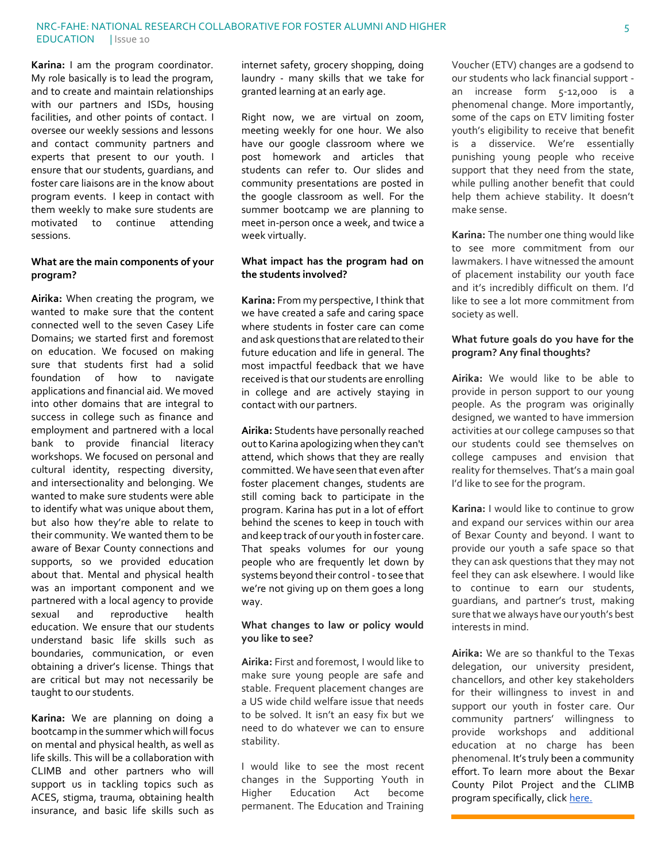**Karina:** I am the program coordinator. My role basically is to lead the program, and to create and maintain relationships with our partners and ISDs, housing facilities, and other points of contact. I oversee our weekly sessions and lessons and contact community partners and experts that present to our youth. I ensure that our students, guardians, and foster care liaisons are in the know about program events. I keep in contact with them weekly to make sure students are motivated to continue attending sessions.

#### **What are the main components of your program?**

**Airika:** When creating the program, we wanted to make sure that the content connected well to the seven Casey Life Domains; we started first and foremost on education. We focused on making sure that students first had a solid foundation of how to navigate applications and financial aid. We moved into other domains that are integral to success in college such as finance and employment and partnered with a local bank to provide financial literacy workshops. We focused on personal and cultural identity, respecting diversity, and intersectionality and belonging. We wanted to make sure students were able to identify what was unique about them, but also how they're able to relate to their community. We wanted them to be aware of Bexar County connections and supports, so we provided education about that. Mental and physical health was an important component and we partnered with a local agency to provide sexual and reproductive health education. We ensure that our students understand basic life skills such as boundaries, communication, or even obtaining a driver's license. Things that are critical but may not necessarily be taught to our students.

**Karina:** We are planning on doing a bootcamp in the summer which will focus on mental and physical health, as well as life skills. This will be a collaboration with CLIMB and other partners who will support us in tackling topics such as ACES, stigma, trauma, obtaining health insurance, and basic life skills such as internet safety, grocery shopping, doing laundry - many skills that we take for granted learning at an early age.

Right now, we are virtual on zoom, meeting weekly for one hour. We also have our google classroom where we post homework and articles that students can refer to. Our slides and community presentations are posted in the google classroom as well. For the summer bootcamp we are planning to meet in-person once a week, and twice a week virtually.

#### **What impact has the program had on the students involved?**

**Karina:** From my perspective, I think that we have created a safe and caring space where students in foster care can come and ask questions that are related to their future education and life in general. The most impactful feedback that we have received is that our students are enrolling in college and are actively staying in contact with our partners.

**Airika:** Students have personally reached out to Karina apologizing when they can't attend, which shows that they are really committed. We have seen that even after foster placement changes, students are still coming back to participate in the program. Karina has put in a lot of effort behind the scenes to keep in touch with and keep track of our youth in foster care. That speaks volumes for our young people who are frequently let down by systems beyond their control - to see that we're not giving up on them goes a long way.

#### **What changes to law or policy would you like to see?**

**Airika:** First and foremost, I would like to make sure young people are safe and stable. Frequent placement changes are a US wide child welfare issue that needs to be solved. It isn't an easy fix but we need to do whatever we can to ensure stability.

I would like to see the most recent changes in the Supporting Youth in<br>Higher Education Act become Higher Education Act become permanent. The Education and Training

Voucher (ETV) changes are a godsend to our students who lack financial support an increase form 5-12,000 is a phenomenal change. More importantly, some of the caps on ETV limiting foster youth's eligibility to receive that benefit is a disservice. We're essentially punishing young people who receive support that they need from the state, while pulling another benefit that could help them achieve stability. It doesn't make sense.

**Karina:** The number one thing would like to see more commitment from our lawmakers. I have witnessed the amount of placement instability our youth face and it's incredibly difficult on them. I'd like to see a lot more commitment from society as well.

#### **What future goals do you have for the program? Any final thoughts?**

**Airika:** We would like to be able to provide in person support to our young people. As the program was originally designed, we wanted to have immersion activities at our college campuses so that our students could see themselves on college campuses and envision that reality for themselves. That's a main goal I'd like to see for the program.

**Karina:** I would like to continue to grow and expand our services within our area of Bexar County and beyond. I want to provide our youth a safe space so that they can ask questions that they may not feel they can ask elsewhere. I would like to continue to earn our students, guardians, and partner's trust, making sure that we always have our youth's best interests in mind.

**Airika:** We are so thankful to the Texas delegation, our university president, chancellors, and other key stakeholders for their willingness to invest in and support our youth in foster care. Our community partners' willingness to provide workshops and additional education at no charge has been phenomenal. It's truly been a community effort. To learn more about the Bexar County Pilot Project and the CLIMB program specifically, clic[k here.](https://www.bcfes.org/climb)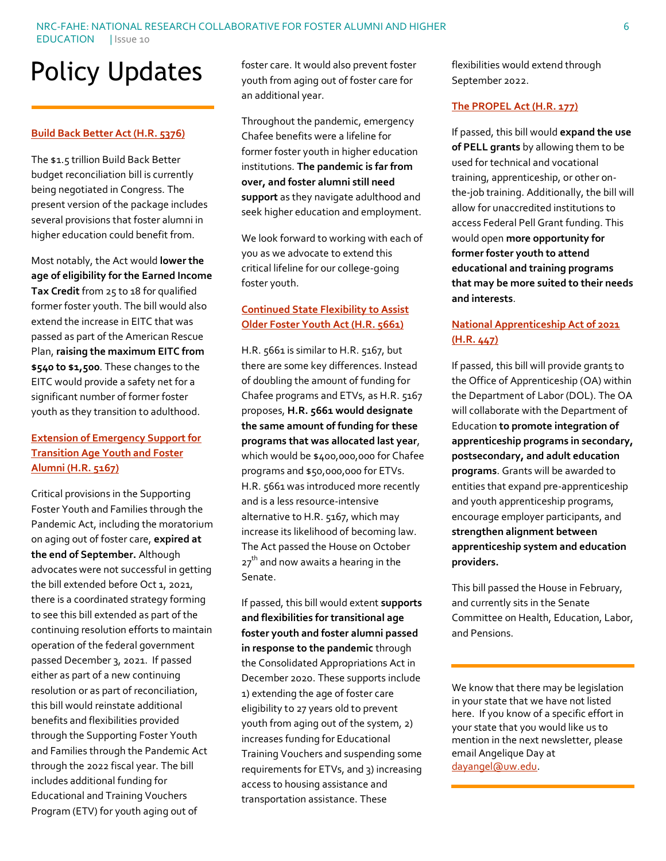#### NRC-FAHE: NATIONAL RESEARCH COLLABORATIVE FOR FOSTER ALUMNI AND HIGHER EDUCATION | Issue 10

# Policy Updates

#### **[Build Back Better Act \(H.R. 5376\)](https://www.congress.gov/bill/117th-congress/house-bill/5376)**

The \$1.5 trillion Build Back Better budget reconciliation bill is currently being negotiated in Congress. The present version of the package includes several provisions that foster alumni in higher education could benefit from.

Most notably, the Act would **lower the age of eligibility for the Earned Income Tax Credit** from 25 to 18 for qualified former foster youth. The bill would also extend the increase in EITC that was passed as part of the American Rescue Plan, **raising the maximum EITC from \$540 to \$1,500**. These changes to the EITC would provide a safety net for a significant number of former foster youth as they transition to adulthood.

#### **[Extension of Emergency Support for](https://www.congress.gov/bill/117th-congress/house-bill/5167)  [Transition Age Youth and Foster](https://www.congress.gov/bill/117th-congress/house-bill/5167)  [Alumni \(H.R. 5167\)](https://www.congress.gov/bill/117th-congress/house-bill/5167)**

Critical provisions in the Supporting Foster Youth and Families through the Pandemic Act, including the moratorium on aging out of foster care, **expired at the end of September.** Although advocates were not successful in getting the bill extended before Oct 1, 2021, there is a coordinated strategy forming to see this bill extended as part of the continuing resolution efforts to maintain operation of the federal government passed December 3, 2021. If passed either as part of a new continuing resolution or as part of reconciliation, this bill would reinstate additional benefits and flexibilities provided through the Supporting Foster Youth and Families through the Pandemic Act through the 2022 fiscal year. The bill includes additional funding for Educational and Training Vouchers Program (ETV) for youth aging out of

foster care. It would also prevent foster youth from aging out of foster care for an additional year.

Throughout the pandemic, emergency Chafee benefits were a lifeline for former foster youth in higher education institutions. **The pandemic is far from over, and foster alumni still need support** as they navigate adulthood and seek higher education and employment.

We look forward to working with each of you as we advocate to extend this critical lifeline for our college-going foster youth.

#### **[Continued State Flexibility to Assist](https://www.congress.gov/bill/117th-congress/house-bill/5661)  [Older Foster Youth Act \(H.R. 5661\)](https://www.congress.gov/bill/117th-congress/house-bill/5661)**

H.R. 5661 is similar to H.R. 5167, but there are some key differences. Instead of doubling the amount of funding for Chafee programs and ETVs, as H.R. 5167 proposes, **H.R. 5661 would designate the same amount of funding for these programs that was allocated last year**, which would be \$400,000,000 for Chafee programs and \$50,000,000 for ETVs. H.R. 5661 was introduced more recently and is a less resource-intensive alternative to H.R. 5167, which may increase its likelihood of becoming law. The Act passed the House on October  $27<sup>th</sup>$  and now awaits a hearing in the Senate.

If passed, this bill would extent **supports and flexibilities for transitional age foster youth and foster alumni passed in response to the pandemic** through the Consolidated Appropriations Act in December 2020. These supports include 1) extending the age of foster care eligibility to 27 years old to prevent youth from aging out of the system, 2) increases funding for Educational Training Vouchers and suspending some requirements for ETVs, and 3) increasing access to housing assistance and transportation assistance. These

flexibilities would extend through September 2022.

#### **[The PROPEL Act \(H.R. 177\)](https://www.congress.gov/bill/117th-congress/house-bill/177?s=6&r=11)**

If passed, this bill would **expand the use of PELL grants** by allowing them to be used for technical and vocational training, apprenticeship, or other onthe-job training. Additionally, the bill will allow for unaccredited institutions to access Federal Pell Grant funding. This would open **more opportunity for former foster youth to attend educational and training programs that may be more suited to their needs and interests**.

#### **[National Apprenticeship Act of 2021](https://www.congress.gov/bill/117th-congress/house-bill/447?q=%7B%22search%22%3A%5B%22foster+youth%22%5D%7D&s=1&r=4)  [\(H.R. 447\)](https://www.congress.gov/bill/117th-congress/house-bill/447?q=%7B%22search%22%3A%5B%22foster+youth%22%5D%7D&s=1&r=4)**

If passed, this bill will provide grants to the Office of Apprenticeship (OA) within the Department of Labor (DOL). The OA will collaborate with the Department of Education **to promote integration of apprenticeship programs in secondary, postsecondary, and adult education programs**. Grants will be awarded to entities that expand pre-apprenticeship and youth apprenticeship programs, encourage employer participants, and **strengthen alignment between apprenticeship system and education providers.**

This bill passed the House in February, and currently sits in the Senate Committee on Health, Education, Labor, and Pensions.

We know that there may be legislation in your state that we have not listed here. If you know of a specific effort in your state that you would like us to mention in the next newsletter, please email Angelique Day at [dayangel@uw.edu.](mailto:dayangel@uw.edu)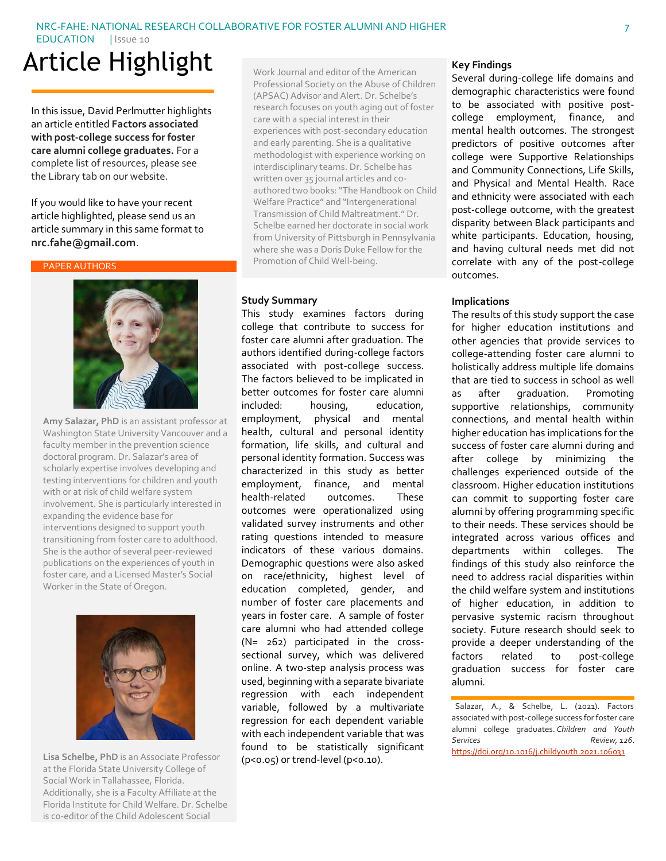#### NRC-FAHE: NATIONAL RESEARCH COLLABORATIVE FOR FOSTER ALUMNI AND HIGHER

EDUCATION | Issue 10

# Article Highlight

In this issue, David Perlmutter highlights an article entitled **Factors associated with post-college success for foster care alumni college graduates.** For a complete list of resources, please see the Library tab on our website.

If you would like to have your recent article highlighted, please send us an article summary in this same format to **nrc.fahe@gmail.com**.

#### PAPER AUTHORS



**Amy Salazar, PhD** is an assistant professor at Washington State University Vancouver and a faculty member in the prevention science doctoral program. Dr. Salazar's area of scholarly expertise involves developing and testing interventions for children and youth with or at risk of child welfare system involvement. She is particularly interested in expanding the evidence base for interventions designed to support youth transitioning from foster care to adulthood. She is the author of several peer-reviewed publications on the experiences of youth in foster care, and a Licensed Master's Social Worker in the State of Oregon.



**Lisa Schelbe, PhD** is an Associate Professor at the Florida State University College of Social Work in Tallahassee, Florida. Additionally, she is a Faculty Affiliate at the Florida Institute for Child Welfare. Dr. Schelbe is co-editor of the Child Adolescent Social

Work Journal and editor of the American Professional Society on the Abuse of Children (APSAC) Advisor and Alert. Dr. Schelbe's research focuses on youth aging out of foster care with a special interest in their experiences with post-secondary education and early parenting. She is a qualitative methodologist with experience working on interdisciplinary teams. Dr. Schelbe has written over 35 journal articles and coauthored two books: "The Handbook on Child Welfare Practice" and "Intergenerational Transmission of Child Maltreatment." Dr. Schelbe earned her doctorate in social work from University of Pittsburgh in Pennsylvania where she was a Doris Duke Fellow for the Promotion of Child Well-being.

#### **Study Summary**

This study examines factors during college that contribute to success for foster care alumni after graduation. The authors identified during-college factors associated with post-college success. The factors believed to be implicated in better outcomes for foster care alumni included: housing, education, employment, physical and mental health, cultural and personal identity formation, life skills, and cultural and personal identity formation. Success was characterized in this study as better employment, finance, and mental health-related outcomes. These outcomes were operationalized using validated survey instruments and other rating questions intended to measure indicators of these various domains. Demographic questions were also asked on race/ethnicity, highest level of education completed, gender, and number of foster care placements and years in foster care. A sample of foster care alumni who had attended college (N= 262) participated in the crosssectional survey, which was delivered online. A two-step analysis process was used, beginning with a separate bivariate regression with each independent variable, followed by a multivariate regression for each dependent variable with each independent variable that was found to be statistically significant (p<0.05) or trend-level (p<0.10).

#### **Key Findings**

Several during-college life domains and demographic characteristics were found to be associated with positive postcollege employment, finance, and mental health outcomes. The strongest predictors of positive outcomes after college were Supportive Relationships and Community Connections, Life Skills, and Physical and Mental Health. Race and ethnicity were associated with each post-college outcome, with the greatest disparity between Black participants and white participants. Education, housing, and having cultural needs met did not correlate with any of the post-college outcomes.

#### **Implications**

The results of this study support the case for higher education institutions and other agencies that provide services to college-attending foster care alumni to holistically address multiple life domains that are tied to success in school as well as after graduation. Promoting supportive relationships, community connections, and mental health within higher education has implications for the success of foster care alumni during and after college by minimizing the challenges experienced outside of the classroom. Higher education institutions can commit to supporting foster care alumni by offering programming specific to their needs. These services should be integrated across various offices and departments within colleges. The findings of this study also reinforce the need to address racial disparities within the child welfare system and institutions of higher education, in addition to pervasive systemic racism throughout society. Future research should seek to provide a deeper understanding of the factors related to post-college graduation success for foster care alumni.

Salazar, A., & Schelbe, L. (2021). Factors associated with post-college success for foster care alumni college graduates. *Children and Youth Services Review, 126*. [https://doi.org/10.1016/j.childyouth.2021.106031](https://doi-org.offcampus.lib.washington.edu/10.1016/j.childyouth.2021.106031)